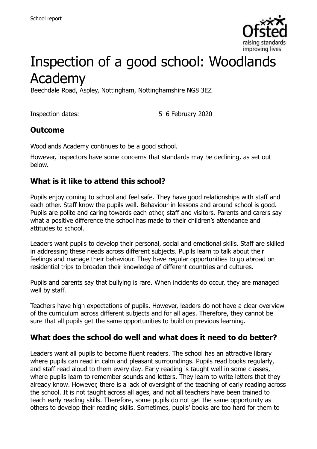

# Inspection of a good school: Woodlands Academy

Beechdale Road, Aspley, Nottingham, Nottinghamshire NG8 3EZ

Inspection dates: 5–6 February 2020

#### **Outcome**

Woodlands Academy continues to be a good school.

However, inspectors have some concerns that standards may be declining, as set out below.

### **What is it like to attend this school?**

Pupils enjoy coming to school and feel safe. They have good relationships with staff and each other. Staff know the pupils well. Behaviour in lessons and around school is good. Pupils are polite and caring towards each other, staff and visitors. Parents and carers say what a positive difference the school has made to their children's attendance and attitudes to school.

Leaders want pupils to develop their personal, social and emotional skills. Staff are skilled in addressing these needs across different subjects. Pupils learn to talk about their feelings and manage their behaviour. They have regular opportunities to go abroad on residential trips to broaden their knowledge of different countries and cultures.

Pupils and parents say that bullying is rare. When incidents do occur, they are managed well by staff.

Teachers have high expectations of pupils. However, leaders do not have a clear overview of the curriculum across different subjects and for all ages. Therefore, they cannot be sure that all pupils get the same opportunities to build on previous learning.

#### **What does the school do well and what does it need to do better?**

Leaders want all pupils to become fluent readers. The school has an attractive library where pupils can read in calm and pleasant surroundings. Pupils read books regularly, and staff read aloud to them every day. Early reading is taught well in some classes, where pupils learn to remember sounds and letters. They learn to write letters that they already know. However, there is a lack of oversight of the teaching of early reading across the school. It is not taught across all ages, and not all teachers have been trained to teach early reading skills. Therefore, some pupils do not get the same opportunity as others to develop their reading skills. Sometimes, pupils' books are too hard for them to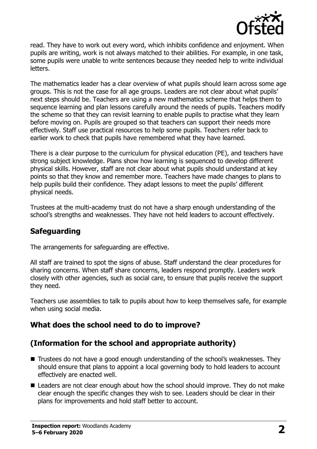

read. They have to work out every word, which inhibits confidence and enjoyment. When pupils are writing, work is not always matched to their abilities. For example, in one task, some pupils were unable to write sentences because they needed help to write individual letters.

The mathematics leader has a clear overview of what pupils should learn across some age groups. This is not the case for all age groups. Leaders are not clear about what pupils' next steps should be. Teachers are using a new mathematics scheme that helps them to sequence learning and plan lessons carefully around the needs of pupils. Teachers modify the scheme so that they can revisit learning to enable pupils to practise what they learn before moving on. Pupils are grouped so that teachers can support their needs more effectively. Staff use practical resources to help some pupils. Teachers refer back to earlier work to check that pupils have remembered what they have learned.

There is a clear purpose to the curriculum for physical education (PE), and teachers have strong subject knowledge. Plans show how learning is sequenced to develop different physical skills. However, staff are not clear about what pupils should understand at key points so that they know and remember more. Teachers have made changes to plans to help pupils build their confidence. They adapt lessons to meet the pupils' different physical needs.

Trustees at the multi-academy trust do not have a sharp enough understanding of the school's strengths and weaknesses. They have not held leaders to account effectively.

# **Safeguarding**

The arrangements for safeguarding are effective.

All staff are trained to spot the signs of abuse. Staff understand the clear procedures for sharing concerns. When staff share concerns, leaders respond promptly. Leaders work closely with other agencies, such as social care, to ensure that pupils receive the support they need.

Teachers use assemblies to talk to pupils about how to keep themselves safe, for example when using social media.

# **What does the school need to do to improve?**

# **(Information for the school and appropriate authority)**

- Trustees do not have a good enough understanding of the school's weaknesses. They should ensure that plans to appoint a local governing body to hold leaders to account effectively are enacted well.
- Leaders are not clear enough about how the school should improve. They do not make clear enough the specific changes they wish to see. Leaders should be clear in their plans for improvements and hold staff better to account.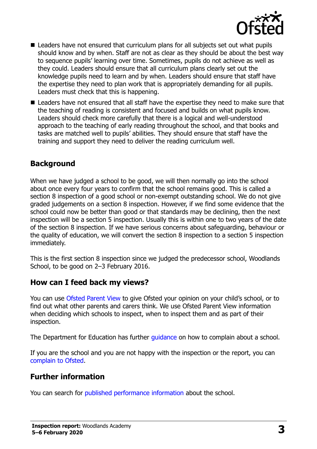

- Leaders have not ensured that curriculum plans for all subjects set out what pupils should know and by when. Staff are not as clear as they should be about the best way to sequence pupils' learning over time. Sometimes, pupils do not achieve as well as they could. Leaders should ensure that all curriculum plans clearly set out the knowledge pupils need to learn and by when. Leaders should ensure that staff have the expertise they need to plan work that is appropriately demanding for all pupils. Leaders must check that this is happening.
- Leaders have not ensured that all staff have the expertise they need to make sure that the teaching of reading is consistent and focused and builds on what pupils know. Leaders should check more carefully that there is a logical and well-understood approach to the teaching of early reading throughout the school, and that books and tasks are matched well to pupils' abilities. They should ensure that staff have the training and support they need to deliver the reading curriculum well.

#### **Background**

When we have judged a school to be good, we will then normally go into the school about once every four years to confirm that the school remains good. This is called a section 8 inspection of a good school or non-exempt outstanding school. We do not give graded judgements on a section 8 inspection. However, if we find some evidence that the school could now be better than good or that standards may be declining, then the next inspection will be a section 5 inspection. Usually this is within one to two years of the date of the section 8 inspection. If we have serious concerns about safeguarding, behaviour or the quality of education, we will convert the section 8 inspection to a section 5 inspection immediately.

This is the first section 8 inspection since we judged the predecessor school, Woodlands School, to be good on 2–3 February 2016.

#### **How can I feed back my views?**

You can use [Ofsted Parent View](https://parentview.ofsted.gov.uk/) to give Ofsted your opinion on your child's school, or to find out what other parents and carers think. We use Ofsted Parent View information when deciding which schools to inspect, when to inspect them and as part of their inspection.

The Department for Education has further quidance on how to complain about a school.

If you are the school and you are not happy with the inspection or the report, you can [complain to Ofsted.](https://www.gov.uk/complain-ofsted-report)

#### **Further information**

You can search for [published performance information](http://www.compare-school-performance.service.gov.uk/) about the school.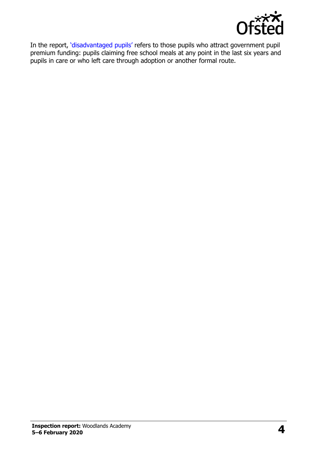

In the report, '[disadvantaged pupils](http://www.gov.uk/guidance/pupil-premium-information-for-schools-and-alternative-provision-settings)' refers to those pupils who attract government pupil premium funding: pupils claiming free school meals at any point in the last six years and pupils in care or who left care through adoption or another formal route.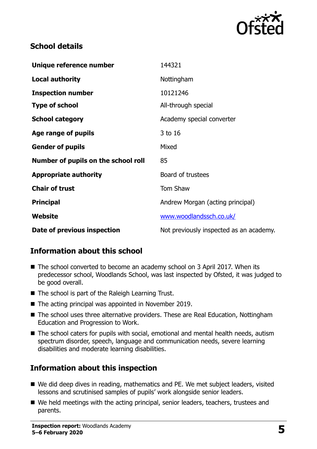

## **School details**

| Unique reference number             | 144321                                  |
|-------------------------------------|-----------------------------------------|
| <b>Local authority</b>              | Nottingham                              |
| <b>Inspection number</b>            | 10121246                                |
| <b>Type of school</b>               | All-through special                     |
| <b>School category</b>              | Academy special converter               |
| Age range of pupils                 | 3 to 16                                 |
| <b>Gender of pupils</b>             | Mixed                                   |
| Number of pupils on the school roll | 85                                      |
| <b>Appropriate authority</b>        | Board of trustees                       |
| <b>Chair of trust</b>               | Tom Shaw                                |
| <b>Principal</b>                    | Andrew Morgan (acting principal)        |
| Website                             | www.woodlandssch.co.uk/                 |
| Date of previous inspection         | Not previously inspected as an academy. |

# **Information about this school**

- The school converted to become an academy school on 3 April 2017. When its predecessor school, Woodlands School, was last inspected by Ofsted, it was judged to be good overall.
- The school is part of the Raleigh Learning Trust.
- The acting principal was appointed in November 2019.
- The school uses three alternative providers. These are Real Education, Nottingham Education and Progression to Work.
- The school caters for pupils with social, emotional and mental health needs, autism spectrum disorder, speech, language and communication needs, severe learning disabilities and moderate learning disabilities.

#### **Information about this inspection**

- We did deep dives in reading, mathematics and PE. We met subject leaders, visited lessons and scrutinised samples of pupils' work alongside senior leaders.
- We held meetings with the acting principal, senior leaders, teachers, trustees and parents.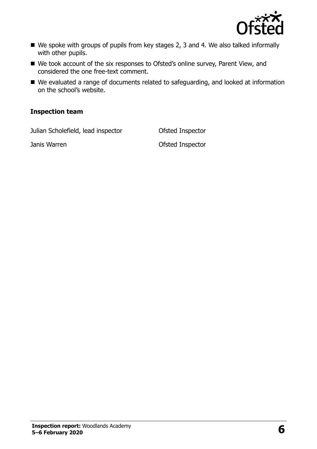

- We spoke with groups of pupils from key stages 2, 3 and 4. We also talked informally with other pupils.
- We took account of the six responses to Ofsted's online survey, Parent View, and considered the one free-text comment.
- We evaluated a range of documents related to safeguarding, and looked at information on the school's website.

#### **Inspection team**

Julian Scholefield, lead inspector Ofsted Inspector

Janis Warren Ofsted Inspector